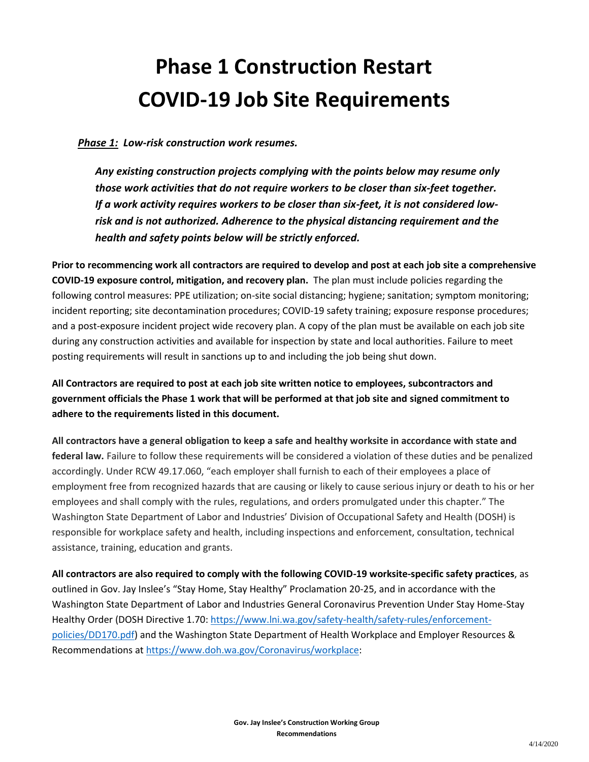# **Phase 1 Construction Restart COVID-19 Job Site Requirements**

# *Phase 1: Low-risk construction work resumes.*

*Any existing construction projects complying with the points below may resume only those work activities that do not require workers to be closer than six-feet together. If a work activity requires workers to be closer than six-feet, it is not considered lowrisk and is not authorized. Adherence to the physical distancing requirement and the health and safety points below will be strictly enforced.*

**Prior to recommencing work all contractors are required to develop and post at each job site a comprehensive COVID-19 exposure control, mitigation, and recovery plan.** The plan must include policies regarding the following control measures: PPE utilization; on-site social distancing; hygiene; sanitation; symptom monitoring; incident reporting; site decontamination procedures; COVID-19 safety training; exposure response procedures; and a post-exposure incident project wide recovery plan. A copy of the plan must be available on each job site during any construction activities and available for inspection by state and local authorities. Failure to meet posting requirements will result in sanctions up to and including the job being shut down.

**All Contractors are required to post at each job site written notice to employees, subcontractors and government officials the Phase 1 work that will be performed at that job site and signed commitment to adhere to the requirements listed in this document.** 

**All contractors have a general obligation to keep a safe and healthy worksite in accordance with state and federal law.** Failure to follow these requirements will be considered a violation of these duties and be penalized accordingly. Under RCW 49.17.060, "each employer shall furnish to each of their employees a place of employment free from recognized hazards that are causing or likely to cause serious injury or death to his or her employees and shall comply with the rules, regulations, and orders promulgated under this chapter." The Washington State Department of Labor and Industries' Division of Occupational Safety and Health (DOSH) is responsible for workplace safety and health, including inspections and enforcement, consultation, technical assistance, training, education and grants.

**All contractors are also required to comply with the following COVID-19 worksite-specific safety practices**, as outlined in Gov. Jay Inslee's "Stay Home, Stay Healthy" Proclamation 20-25, and in accordance with the Washington State Department of Labor and Industries General Coronavirus Prevention Under Stay Home-Stay Healthy Order (DOSH Directive 1.70: [https://www.lni.wa.gov/safety-health/safety-rules/enforcement](https://www.lni.wa.gov/safety-health/safety-rules/enforcement-policies/DD170.pdf)[policies/DD170.pdf\)](https://www.lni.wa.gov/safety-health/safety-rules/enforcement-policies/DD170.pdf) and the Washington State Department of Health Workplace and Employer Resources & Recommendations at [https://www.doh.wa.gov/Coronavirus/workplace:](https://www.doh.wa.gov/Coronavirus/workplace)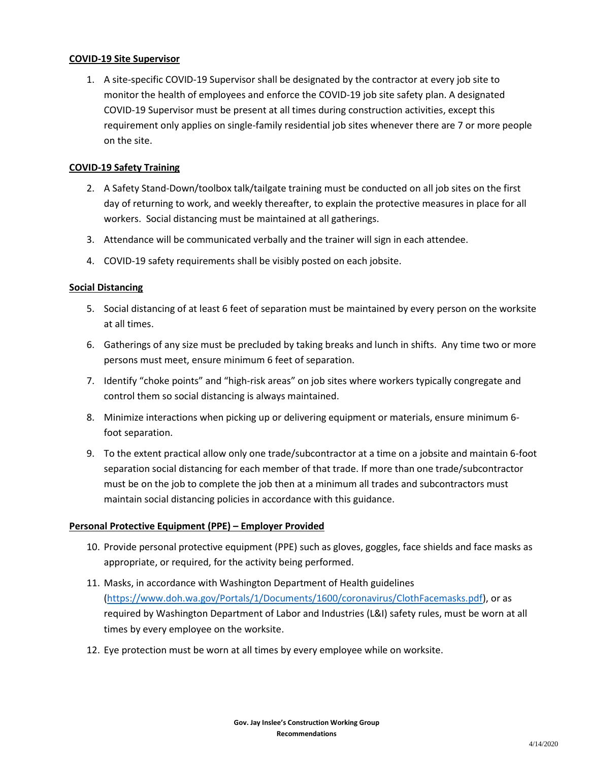#### **COVID-19 Site Supervisor**

1. A site-specific COVID-19 Supervisor shall be designated by the contractor at every job site to monitor the health of employees and enforce the COVID-19 job site safety plan. A designated COVID-19 Supervisor must be present at all times during construction activities, except this requirement only applies on single-family residential job sites whenever there are 7 or more people on the site.

#### **COVID-19 Safety Training**

- 2. A Safety Stand-Down/toolbox talk/tailgate training must be conducted on all job sites on the first day of returning to work, and weekly thereafter, to explain the protective measures in place for all workers. Social distancing must be maintained at all gatherings.
- 3. Attendance will be communicated verbally and the trainer will sign in each attendee.
- 4. COVID-19 safety requirements shall be visibly posted on each jobsite.

### **Social Distancing**

- 5. Social distancing of at least 6 feet of separation must be maintained by every person on the worksite at all times.
- 6. Gatherings of any size must be precluded by taking breaks and lunch in shifts. Any time two or more persons must meet, ensure minimum 6 feet of separation.
- 7. Identify "choke points" and "high-risk areas" on job sites where workers typically congregate and control them so social distancing is always maintained.
- 8. Minimize interactions when picking up or delivering equipment or materials, ensure minimum 6 foot separation.
- 9. To the extent practical allow only one trade/subcontractor at a time on a jobsite and maintain 6-foot separation social distancing for each member of that trade. If more than one trade/subcontractor must be on the job to complete the job then at a minimum all trades and subcontractors must maintain social distancing policies in accordance with this guidance.

### **Personal Protective Equipment (PPE) – Employer Provided**

- 10. Provide personal protective equipment (PPE) such as gloves, goggles, face shields and face masks as appropriate, or required, for the activity being performed.
- 11. Masks, in accordance with Washington Department of Health guidelines [\(https://www.doh.wa.gov/Portals/1/Documents/1600/coronavirus/ClothFacemasks.pdf\)](https://www.doh.wa.gov/Portals/1/Documents/1600/coronavirus/ClothFacemasks.pdf), or as required by Washington Department of Labor and Industries (L&I) safety rules, must be worn at all times by every employee on the worksite.
- 12. Eye protection must be worn at all times by every employee while on worksite.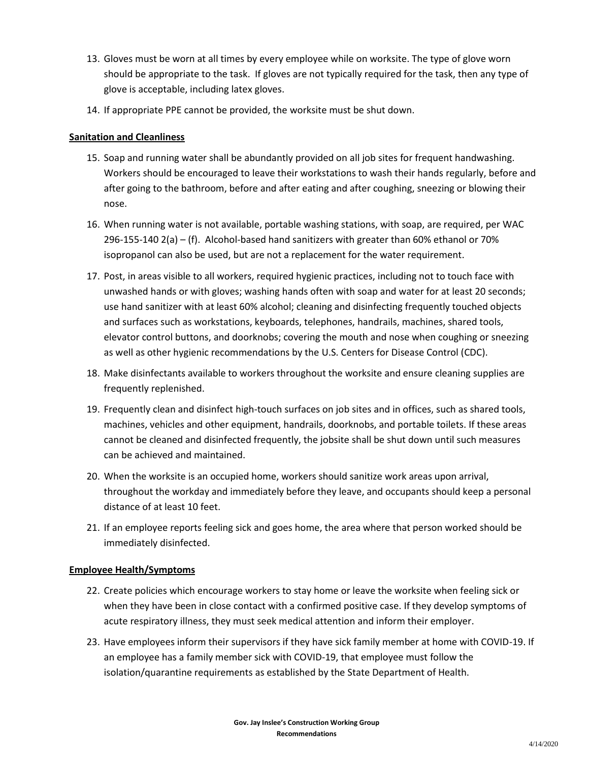- 13. Gloves must be worn at all times by every employee while on worksite. The type of glove worn should be appropriate to the task. If gloves are not typically required for the task, then any type of glove is acceptable, including latex gloves.
- 14. If appropriate PPE cannot be provided, the worksite must be shut down.

## **Sanitation and Cleanliness**

- 15. Soap and running water shall be abundantly provided on all job sites for frequent handwashing. Workers should be encouraged to leave their workstations to wash their hands regularly, before and after going to the bathroom, before and after eating and after coughing, sneezing or blowing their nose.
- 16. When running water is not available, portable washing stations, with soap, are required, per WAC 296-155-140 2(a) – (f). Alcohol-based hand sanitizers with greater than 60% ethanol or 70% isopropanol can also be used, but are not a replacement for the water requirement.
- 17. Post, in areas visible to all workers, required hygienic practices, including not to touch face with unwashed hands or with gloves; washing hands often with soap and water for at least 20 seconds; use hand sanitizer with at least 60% alcohol; cleaning and disinfecting frequently touched objects and surfaces such as workstations, keyboards, telephones, handrails, machines, shared tools, elevator control buttons, and doorknobs; covering the mouth and nose when coughing or sneezing as well as other hygienic recommendations by the U.S. Centers for Disease Control (CDC).
- 18. Make disinfectants available to workers throughout the worksite and ensure cleaning supplies are frequently replenished.
- 19. Frequently clean and disinfect high-touch surfaces on job sites and in offices, such as shared tools, machines, vehicles and other equipment, handrails, doorknobs, and portable toilets. If these areas cannot be cleaned and disinfected frequently, the jobsite shall be shut down until such measures can be achieved and maintained.
- 20. When the worksite is an occupied home, workers should sanitize work areas upon arrival, throughout the workday and immediately before they leave, and occupants should keep a personal distance of at least 10 feet.
- 21. If an employee reports feeling sick and goes home, the area where that person worked should be immediately disinfected.

# **Employee Health/Symptoms**

- 22. Create policies which encourage workers to stay home or leave the worksite when feeling sick or when they have been in close contact with a confirmed positive case. If they develop symptoms of acute respiratory illness, they must seek medical attention and inform their employer.
- 23. Have employees inform their supervisors if they have sick family member at home with COVID-19. If an employee has a family member sick with COVID-19, that employee must follow the isolation/quarantine requirements as established by the State Department of Health.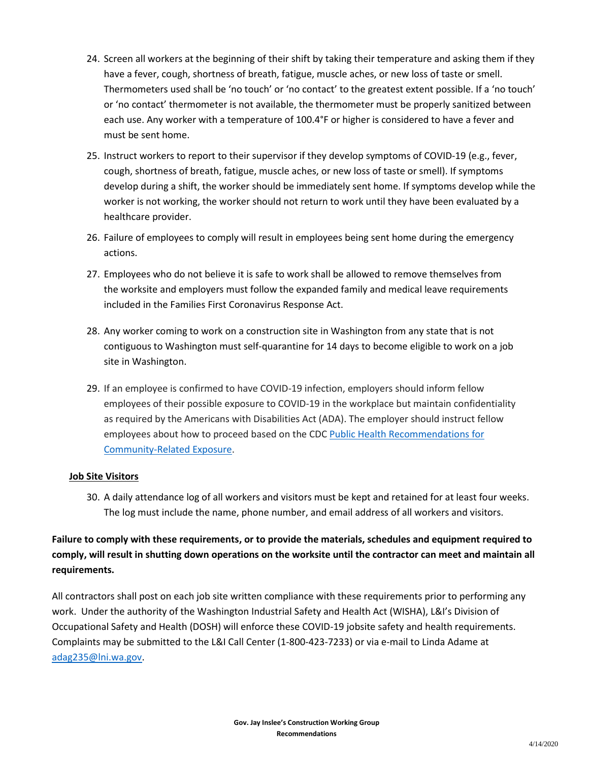- 24. Screen all workers at the beginning of their shift by taking their temperature and asking them if they have a fever, cough, shortness of breath, fatigue, muscle aches, or new loss of taste or smell. Thermometers used shall be 'no touch' or 'no contact' to the greatest extent possible. If a 'no touch' or 'no contact' thermometer is not available, the thermometer must be properly sanitized between each use. Any worker with a temperature of 100.4°F or higher is considered to have a fever and must be sent home.
- 25. Instruct workers to report to their supervisor if they develop symptoms of COVID-19 (e.g., fever, cough, shortness of breath, fatigue, muscle aches, or new loss of taste or smell). If symptoms develop during a shift, the worker should be immediately sent home. If symptoms develop while the worker is not working, the worker should not return to work until they have been evaluated by a healthcare provider.
- 26. Failure of employees to comply will result in employees being sent home during the emergency actions.
- 27. Employees who do not believe it is safe to work shall be allowed to remove themselves from the worksite and employers must follow the expanded family and medical leave requirements included in the Families First Coronavirus Response Act.
- 28. Any worker coming to work on a construction site in Washington from any state that is not contiguous to Washington must self-quarantine for 14 days to become eligible to work on a job site in Washington.
- 29. If an employee is confirmed to have COVID-19 infection, employers should inform fellow employees of their possible exposure to COVID-19 in the workplace but maintain confidentiality as required by the Americans with Disabilities Act (ADA). The employer should instruct fellow employees about how to proceed based on the CDC [Public Health Recommendations for](https://www.cdc.gov/coronavirus/2019-ncov/php/public-health-recommendations.html)  [Community-Related Exposure.](https://www.cdc.gov/coronavirus/2019-ncov/php/public-health-recommendations.html)

### **Job Site Visitors**

30. A daily attendance log of all workers and visitors must be kept and retained for at least four weeks. The log must include the name, phone number, and email address of all workers and visitors.

**Failure to comply with these requirements, or to provide the materials, schedules and equipment required to comply, will result in shutting down operations on the worksite until the contractor can meet and maintain all requirements.**

All contractors shall post on each job site written compliance with these requirements prior to performing any work. Under the authority of the Washington Industrial Safety and Health Act (WISHA), L&I's Division of Occupational Safety and Health (DOSH) will enforce these COVID-19 jobsite safety and health requirements. Complaints may be submitted to the L&I Call Center (1-800-423-7233) or via e-mail to Linda Adame at [adag235@lni.wa.gov.](mailto:adag235@lni.wa.gov)